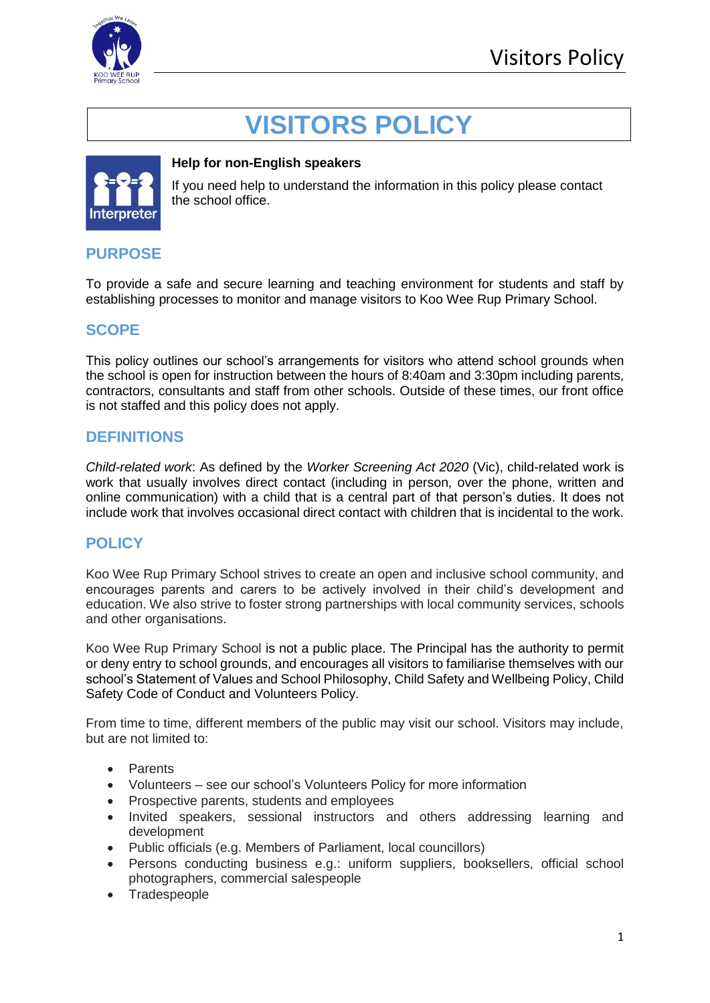

# **VISITORS POLICY**



#### **Help for non-English speakers**

If you need help to understand the information in this policy please contact the school office.

# **PURPOSE**

To provide a safe and secure learning and teaching environment for students and staff by establishing processes to monitor and manage visitors to Koo Wee Rup Primary School.

## **SCOPE**

This policy outlines our school's arrangements for visitors who attend school grounds when the school is open for instruction between the hours of 8:40am and 3:30pm including parents, contractors, consultants and staff from other schools. Outside of these times, our front office is not staffed and this policy does not apply.

## **DEFINITIONS**

*Child-related work*: As defined by the *Worker Screening Act 2020* (Vic), child-related work is work that usually involves direct contact (including in person, over the phone, written and online communication) with a child that is a central part of that person's duties. It does not include work that involves occasional direct contact with children that is incidental to the work.

# **POLICY**

Koo Wee Rup Primary School strives to create an open and inclusive school community, and encourages parents and carers to be actively involved in their child's development and education. We also strive to foster strong partnerships with local community services, schools and other organisations.

Koo Wee Rup Primary School is not a public place. The Principal has the authority to permit or deny entry to school grounds, and encourages all visitors to familiarise themselves with our school's Statement of Values and School Philosophy, Child Safety and Wellbeing Policy, Child Safety Code of Conduct and Volunteers Policy.

From time to time, different members of the public may visit our school. Visitors may include, but are not limited to:

- Parents
- Volunteers see our school's Volunteers Policy for more information
- Prospective parents, students and employees
- Invited speakers, sessional instructors and others addressing learning and development
- Public officials (e.g. Members of Parliament, local councillors)
- Persons conducting business e.g.: uniform suppliers, booksellers, official school photographers, commercial salespeople
- Tradespeople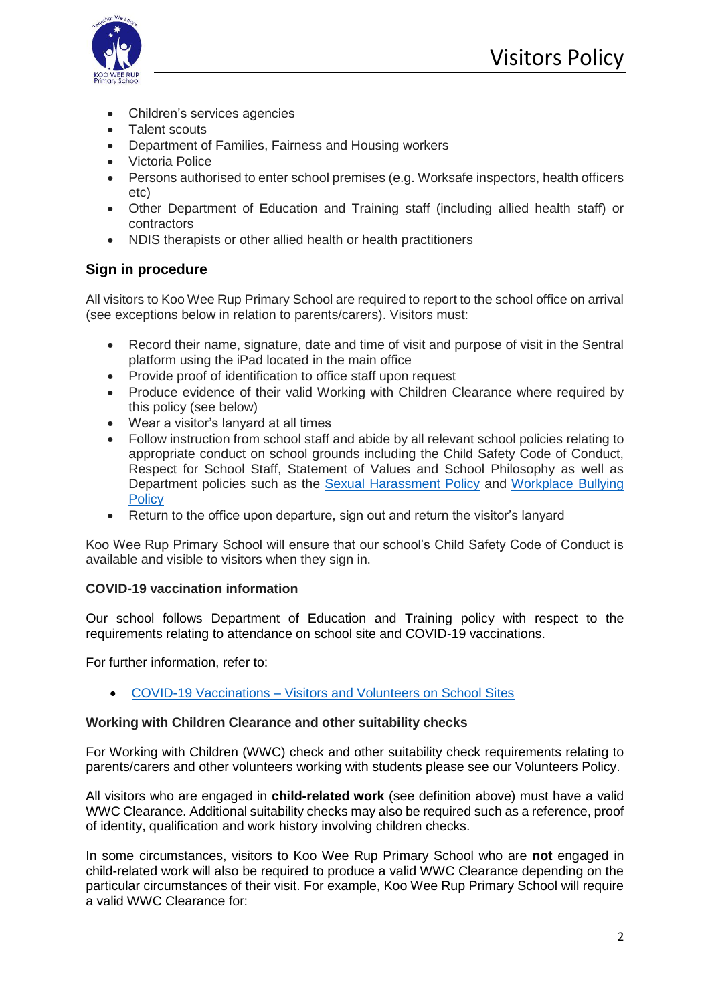

- Children's services agencies
- Talent scouts
- Department of Families, Fairness and Housing workers
- Victoria Police
- Persons authorised to enter school premises (e.g. Worksafe inspectors, health officers etc)
- Other Department of Education and Training staff (including allied health staff) or contractors
- NDIS therapists or other allied health or health practitioners

## **Sign in procedure**

All visitors to Koo Wee Rup Primary School are required to report to the school office on arrival (see exceptions below in relation to parents/carers). Visitors must:

- Record their name, signature, date and time of visit and purpose of visit in the Sentral platform using the iPad located in the main office
- Provide proof of identification to office staff upon request
- Produce evidence of their valid Working with Children Clearance where required by this policy (see below)
- Wear a visitor's lanyard at all times
- Follow instruction from school staff and abide by all relevant school policies relating to appropriate conduct on school grounds including the Child Safety Code of Conduct, Respect for School Staff, Statement of Values and School Philosophy as well as Department policies such as the [Sexual Harassment Policy](https://www2.education.vic.gov.au/pal/sexual-harassment/overview) and [Workplace Bullying](https://www2.education.vic.gov.au/pal/workplace-bullying/policy)  **[Policy](https://www2.education.vic.gov.au/pal/workplace-bullying/policy)**
- Return to the office upon departure, sign out and return the visitor's lanyard

Koo Wee Rup Primary School will ensure that our school's Child Safety Code of Conduct is available and visible to visitors when they sign in.

## **COVID-19 vaccination information**

Our school follows Department of Education and Training policy with respect to the requirements relating to attendance on school site and COVID-19 vaccinations.

For further information, refer to:

• COVID-19 Vaccinations – [Visitors and Volunteers on School Sites](https://www2.education.vic.gov.au/pal/covid-19-vaccinations-visitors-volunteers/policy)

#### **Working with Children Clearance and other suitability checks**

For Working with Children (WWC) check and other suitability check requirements relating to parents/carers and other volunteers working with students please see our Volunteers Policy.

All visitors who are engaged in **child-related work** (see definition above) must have a valid WWC Clearance. Additional suitability checks may also be required such as a reference, proof of identity, qualification and work history involving children checks.

In some circumstances, visitors to Koo Wee Rup Primary School who are **not** engaged in child-related work will also be required to produce a valid WWC Clearance depending on the particular circumstances of their visit. For example, Koo Wee Rup Primary School will require a valid WWC Clearance for: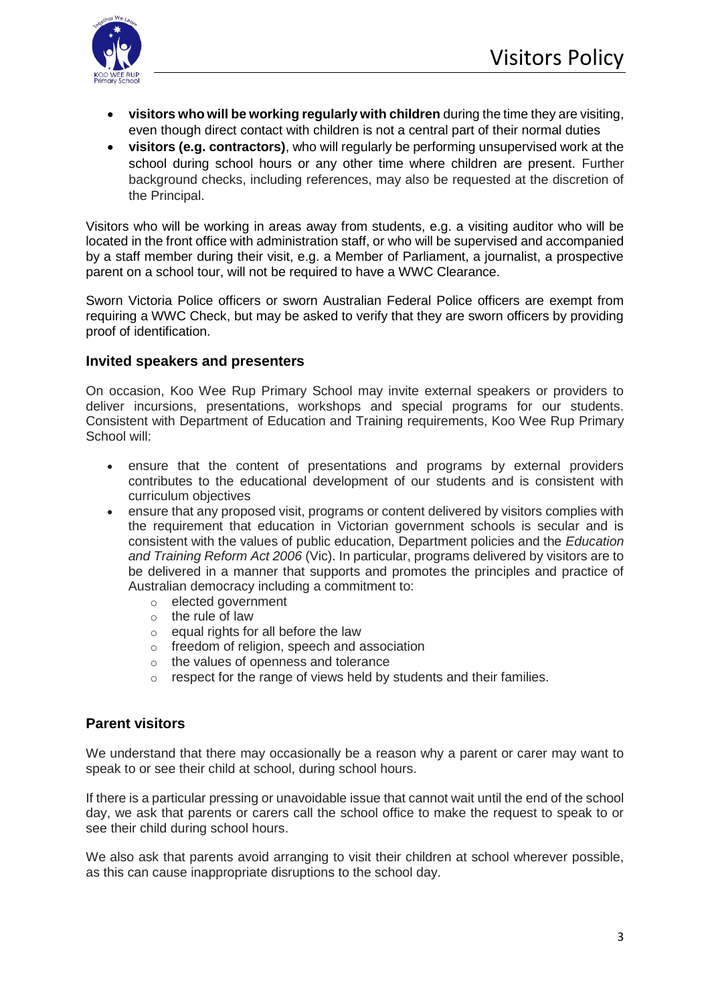

- **visitors who will be working regularly with children** during the time they are visiting, even though direct contact with children is not a central part of their normal duties
- **visitors (e.g. contractors)**, who will regularly be performing unsupervised work at the school during school hours or any other time where children are present. Further background checks, including references, may also be requested at the discretion of the Principal.

Visitors who will be working in areas away from students, e.g. a visiting auditor who will be located in the front office with administration staff, or who will be supervised and accompanied by a staff member during their visit, e.g. a Member of Parliament, a journalist, a prospective parent on a school tour, will not be required to have a WWC Clearance.

Sworn Victoria Police officers or sworn Australian Federal Police officers are exempt from requiring a WWC Check, but may be asked to verify that they are sworn officers by providing proof of identification.

#### **Invited speakers and presenters**

On occasion, Koo Wee Rup Primary School may invite external speakers or providers to deliver incursions, presentations, workshops and special programs for our students. Consistent with Department of Education and Training requirements, Koo Wee Rup Primary School will:

- ensure that the content of presentations and programs by external providers contributes to the educational development of our students and is consistent with curriculum objectives
- ensure that any proposed visit, programs or content delivered by visitors complies with the requirement that education in Victorian government schools is secular and is consistent with the values of public education, Department policies and the *Education and Training Reform Act 2006* (Vic). In particular, programs delivered by visitors are to be delivered in a manner that supports and promotes the principles and practice of Australian democracy including a commitment to:
	- o elected government
	- $\circ$  the rule of law
	- $\circ$  equal rights for all before the law
	- o freedom of religion, speech and association
	- o the values of openness and tolerance
	- o respect for the range of views held by students and their families.

## **Parent visitors**

We understand that there may occasionally be a reason why a parent or carer may want to speak to or see their child at school, during school hours.

If there is a particular pressing or unavoidable issue that cannot wait until the end of the school day, we ask that parents or carers call the school office to make the request to speak to or see their child during school hours.

We also ask that parents avoid arranging to visit their children at school wherever possible, as this can cause inappropriate disruptions to the school day.